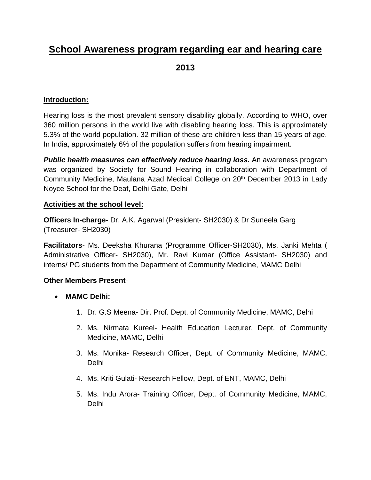# **School Awareness program regarding ear and hearing care**

**2013**

# **Introduction:**

Hearing loss is the most prevalent sensory disability globally. According to WHO, over 360 million persons in the world live with disabling hearing loss. This is approximately 5.3% of the world population. 32 million of these are children less than 15 years of age. In India, approximately 6% of the population suffers from hearing impairment.

*Public health measures can effectively reduce hearing loss.* An awareness program was organized by Society for Sound Hearing in collaboration with Department of Community Medicine, Maulana Azad Medical College on 20<sup>th</sup> December 2013 in Lady Noyce School for the Deaf, Delhi Gate, Delhi

# **Activities at the school level:**

**Officers In-charge-** Dr. A.K. Agarwal (President- SH2030) & Dr Suneela Garg (Treasurer- SH2030)

**Facilitators**- Ms. Deeksha Khurana (Programme Officer-SH2030), Ms. Janki Mehta ( Administrative Officer- SH2030), Mr. Ravi Kumar (Office Assistant- SH2030) and interns/ PG students from the Department of Community Medicine, MAMC Delhi

# **Other Members Present**-

- **MAMC Delhi:**
	- 1. Dr. G.S Meena- Dir. Prof. Dept. of Community Medicine, MAMC, Delhi
	- 2. Ms. Nirmata Kureel- Health Education Lecturer, Dept. of Community Medicine, MAMC, Delhi
	- 3. Ms. Monika- Research Officer, Dept. of Community Medicine, MAMC, Delhi
	- 4. Ms. Kriti Gulati- Research Fellow, Dept. of ENT, MAMC, Delhi
	- 5. Ms. Indu Arora- Training Officer, Dept. of Community Medicine, MAMC, Delhi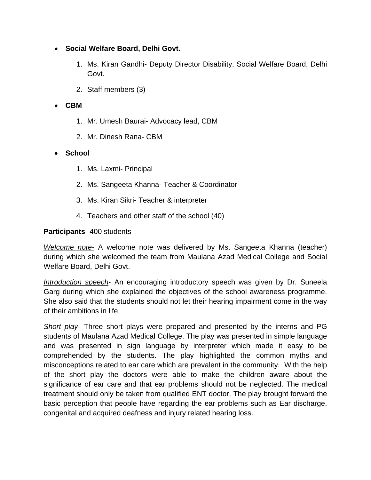- **Social Welfare Board, Delhi Govt.**
	- 1. Ms. Kiran Gandhi- Deputy Director Disability, Social Welfare Board, Delhi Govt.
	- 2. Staff members (3)

#### **CBM**

- 1. Mr. Umesh Baurai- Advocacy lead, CBM
- 2. Mr. Dinesh Rana- CBM

#### **School**

- 1. Ms. Laxmi- Principal
- 2. Ms. Sangeeta Khanna- Teacher & Coordinator
- 3. Ms. Kiran Sikri- Teacher & interpreter
- 4. Teachers and other staff of the school (40)

#### **Participants**- 400 students

*Welcome note-* A welcome note was delivered by Ms. Sangeeta Khanna (teacher) during which she welcomed the team from Maulana Azad Medical College and Social Welfare Board, Delhi Govt.

*Introduction speech*- An encouraging introductory speech was given by Dr. Suneela Garg during which she explained the objectives of the school awareness programme. She also said that the students should not let their hearing impairment come in the way of their ambitions in life.

*Short play*- Three short plays were prepared and presented by the interns and PG students of Maulana Azad Medical College. The play was presented in simple language and was presented in sign language by interpreter which made it easy to be comprehended by the students. The play highlighted the common myths and misconceptions related to ear care which are prevalent in the community. With the help of the short play the doctors were able to make the children aware about the significance of ear care and that ear problems should not be neglected. The medical treatment should only be taken from qualified ENT doctor. The play brought forward the basic perception that people have regarding the ear problems such as Ear discharge, congenital and acquired deafness and injury related hearing loss.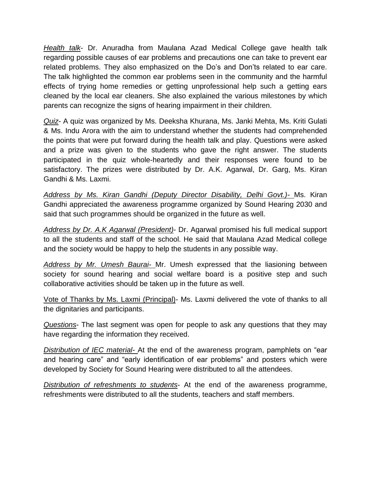*Health talk*- Dr. Anuradha from Maulana Azad Medical College gave health talk regarding possible causes of ear problems and precautions one can take to prevent ear related problems. They also emphasized on the Do's and Don'ts related to ear care. The talk highlighted the common ear problems seen in the community and the harmful effects of trying home remedies or getting unprofessional help such a getting ears cleaned by the local ear cleaners. She also explained the various milestones by which parents can recognize the signs of hearing impairment in their children.

*Quiz*- A quiz was organized by Ms. Deeksha Khurana, Ms. Janki Mehta, Ms. Kriti Gulati & Ms. Indu Arora with the aim to understand whether the students had comprehended the points that were put forward during the health talk and play. Questions were asked and a prize was given to the students who gave the right answer. The students participated in the quiz whole-heartedly and their responses were found to be satisfactory. The prizes were distributed by Dr. A.K. Agarwal, Dr. Garg, Ms. Kiran Gandhi & Ms. Laxmi.

*Address by Ms. Kiran Gandhi (Deputy Director Disability, Delhi Govt.)-* Ms. Kiran Gandhi appreciated the awareness programme organized by Sound Hearing 2030 and said that such programmes should be organized in the future as well.

*Address by Dr. A.K Agarwal (President)*- Dr. Agarwal promised his full medical support to all the students and staff of the school. He said that Maulana Azad Medical college and the society would be happy to help the students in any possible way.

*Address by Mr. Umesh Baurai-* Mr. Umesh expressed that the liasioning between society for sound hearing and social welfare board is a positive step and such collaborative activities should be taken up in the future as well.

Vote of Thanks by Ms. Laxmi (Principal)- Ms. Laxmi delivered the vote of thanks to all the dignitaries and participants.

*Questions*- The last segment was open for people to ask any questions that they may have regarding the information they received.

*Distribution of IEC material-* At the end of the awareness program, pamphlets on "ear and hearing care" and "early identification of ear problems" and posters which were developed by Society for Sound Hearing were distributed to all the attendees.

*Distribution of refreshments to students*- At the end of the awareness programme, refreshments were distributed to all the students, teachers and staff members.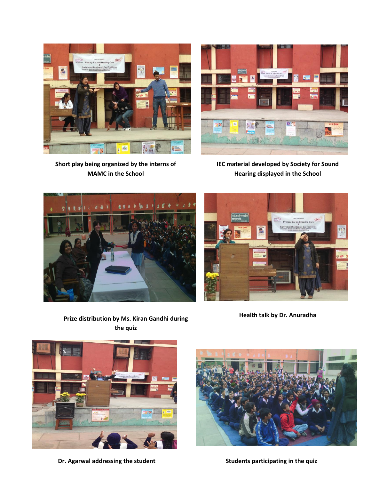

**Short play being organized by the interns of MAMC in the School**



**IEC material developed by Society for Sound Hearing displayed in the School**





**Health talk by Dr. Anuradha**



**Dr. Agarwal addressing the student <b>Student Students** Students participating in the quiz